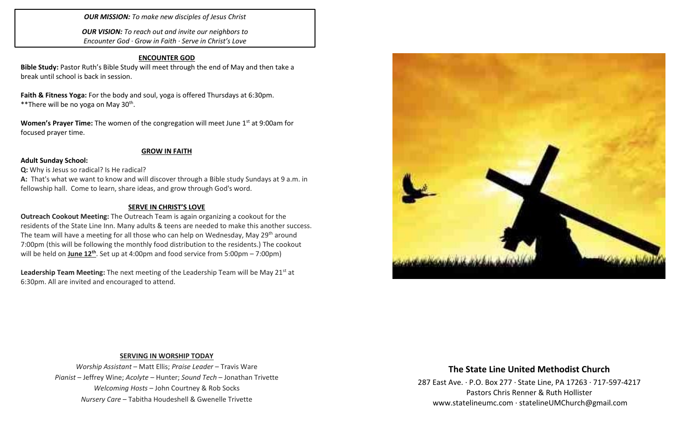# *OUR MISSION: To make new disciples of Jesus Christ*

*OUR VISION: To reach out and invite our neighbors to Encounter God · Grow in Faith · Serve in Christ's Love*

# **ENCOUNTER GOD**

**Bible Study:** Pastor Ruth's Bible Study will meet through the end of May and then take a break until school is back in session.

**Faith & Fitness Yoga:** For the body and soul, yoga is offered Thursdays at 6:30pm. \*\*There will be no yoga on May 30<sup>th</sup>.

**Women's Prayer Time:** The women of the congregation will meet June 1<sup>st</sup> at 9:00am for focused prayer time.

### **GROW IN FAITH**

### **Adult Sunday School:**

**Q:** Why is Jesus so radical? Is He radical?

**A:** That's what we want to know and will discover through a Bible study Sundays at 9 a.m. in fellowship hall. Come to learn, share ideas, and grow through God's word.

### **SERVE IN CHRIST'S LOVE**

**Outreach Cookout Meeting:** The Outreach Team is again organizing a cookout for the residents of the State Line Inn. Many adults & teens are needed to make this another success. The team will have a meeting for all those who can help on Wednesday, May  $29<sup>th</sup>$  around 7:00pm (this will be following the monthly food distribution to the residents.) The cookout will be held on *June 12<sup>th</sup>*. Set up at 4:00pm and food service from 5:00pm – 7:00pm)

Leadership Team Meeting: The next meeting of the Leadership Team will be May 21<sup>st</sup> at 6:30pm. All are invited and encouraged to attend.



# **SERVING IN WORSHIP TODAY**

*Worship Assistant* – Matt Ellis; *Praise Leader* – Travis Ware *Pianist* – Jeffrey Wine; *Acolyte* – Hunter; *Sound Tech* – Jonathan Trivette *Welcoming Hosts* – John Courtney & Rob Socks *Nursery Care* – Tabitha Houdeshell & Gwenelle Trivette

# **The State Line United Methodist Church**

287 East Ave. · P.O. Box 277 · State Line, PA 17263 · 717-597-4217 Pastors Chris Renner & Ruth Hollister [www.statelineumc.com](http://www.statelineumc.com/) · statelineUMChurch@gmail.com